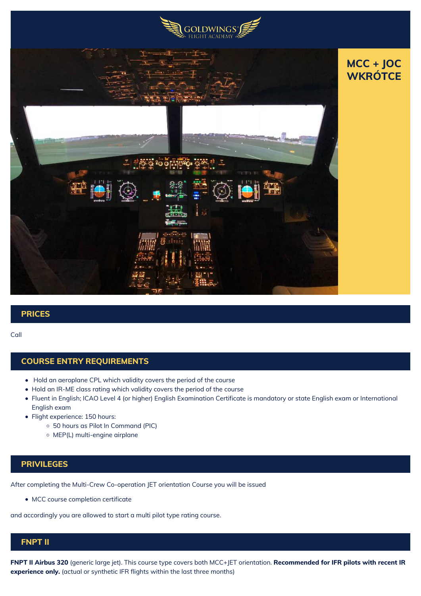



# **PRICES**

#### Call

#### **COURSE ENTRY REQUIREMENTS**

- Hold an aeroplane CPL which validity covers the period of the course
- Hold an IR-ME class rating which validity covers the period of the course
- Fluent in English; ICAO Level 4 (or higher) English Examination Certificate is mandatory or state English exam or International English exam
- Flight experience: 150 hours:
	- 50 hours as Pilot In Command (PIC)
	- MEP(L) multi-engine airplane

## **PRIVILEGES**

After completing the Multi-Crew Co-operation JET orientation Course you will be issued

MCC course completion certificate

and accordingly you are allowed to start a multi pilot type rating course.

## **FNPT II**

**FNPT II Airbus 320** (generic large jet). This course type covers both MCC+JET orientation. **Recommended for IFR pilots with recent IR experience only.** (actual or synthetic IFR flights within the last three months)